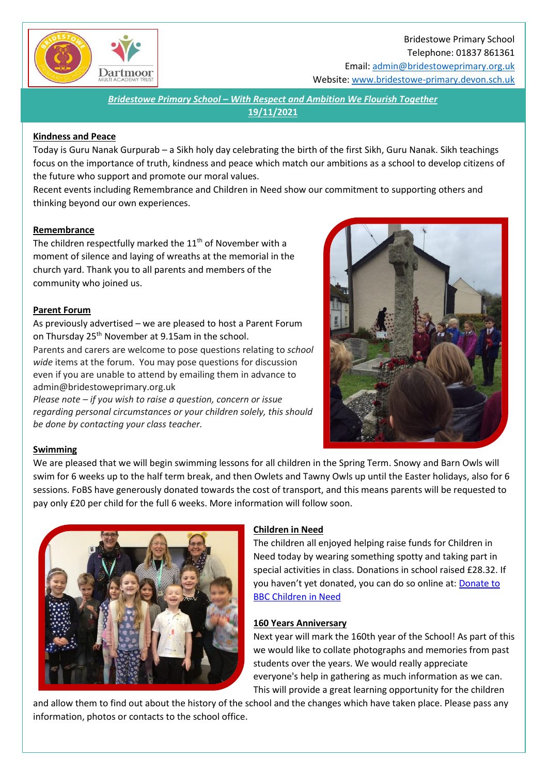

Bridestowe Primary School Telephone: 01837 861361 Email[: admin@bridestoweprimary.org.uk](mailto:admin@bridestoweprimary.org.uk)

Website: [www.bridestowe-primary.devon.sch.uk](http://www.bridestowe-primary.devon.sch.uk/)

*Bridestowe Primary School – With Respect and Ambition We Flourish Together* **19/11/2021**

#### **Kindness and Peace**

Today is Guru Nanak Gurpurab – a Sikh holy day celebrating the birth of the first Sikh, Guru Nanak. Sikh teachings focus on the importance of truth, kindness and peace which match our ambitions as a school to develop citizens of the future who support and promote our moral values.

Recent events including Remembrance and Children in Need show our commitment to supporting others and thinking beyond our own experiences.

#### **Remembrance**

The children respectfully marked the 11<sup>th</sup> of November with a moment of silence and laying of wreaths at the memorial in the church yard. Thank you to all parents and members of the community who joined us.

#### **Parent Forum**

As previously advertised – we are pleased to host a Parent Forum on Thursday 25<sup>th</sup> November at 9.15am in the school. Parents and carers are welcome to pose questions relating to *school wide* items at the forum. You may pose questions for discussion even if you are unable to attend by emailing them in advance to admin@bridestoweprimary.org.uk

*Please note – if you wish to raise a question, concern or issue regarding personal circumstances or your children solely, this should be done by contacting your class teacher.*



## **Swimming**

We are pleased that we will begin swimming lessons for all children in the Spring Term. Snowy and Barn Owls will swim for 6 weeks up to the half term break, and then Owlets and Tawny Owls up until the Easter holidays, also for 6 sessions. FoBS have generously donated towards the cost of transport, and this means parents will be requested to pay only £20 per child for the full 6 weeks. More information will follow soon.



## **Children in Need**

The children all enjoyed helping raise funds for Children in Need today by wearing something spotty and taking part in special activities in class. Donations in school raised £28.32. If you haven't yet donated, you can do so online at[: Donate to](https://donate.bbcchildreninneed.co.uk/)  [BBC Children in Need](https://donate.bbcchildreninneed.co.uk/)

#### **160 Years Anniversary**

Next year will mark the 160th year of the School! As part of this we would like to collate photographs and memories from past students over the years. We would really appreciate everyone's help in gathering as much information as we can. This will provide a great learning opportunity for the children

and allow them to find out about the history of the school and the changes which have taken place. Please pass any information, photos or contacts to the school office.